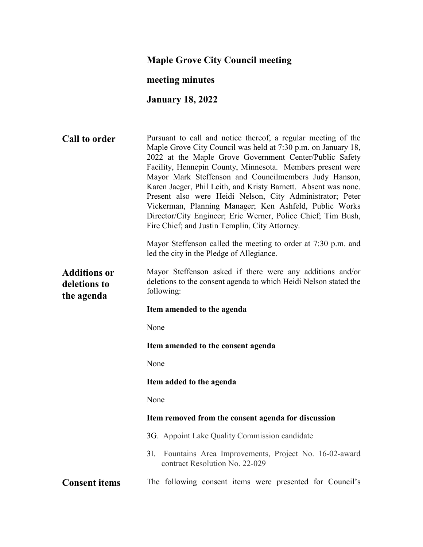# **Maple Grove City Council meeting**

# **meeting minutes**

# **January 18, 2022**

| <b>Call to order</b>                              | Pursuant to call and notice thereof, a regular meeting of the<br>Maple Grove City Council was held at 7:30 p.m. on January 18,<br>2022 at the Maple Grove Government Center/Public Safety<br>Facility, Hennepin County, Minnesota. Members present were<br>Mayor Mark Steffenson and Councilmembers Judy Hanson,<br>Karen Jaeger, Phil Leith, and Kristy Barnett. Absent was none.<br>Present also were Heidi Nelson, City Administrator; Peter<br>Vickerman, Planning Manager; Ken Ashfeld, Public Works<br>Director/City Engineer; Eric Werner, Police Chief; Tim Bush,<br>Fire Chief; and Justin Templin, City Attorney. |  |  |
|---------------------------------------------------|-----------------------------------------------------------------------------------------------------------------------------------------------------------------------------------------------------------------------------------------------------------------------------------------------------------------------------------------------------------------------------------------------------------------------------------------------------------------------------------------------------------------------------------------------------------------------------------------------------------------------------|--|--|
|                                                   | Mayor Steffenson called the meeting to order at 7:30 p.m. and<br>led the city in the Pledge of Allegiance.                                                                                                                                                                                                                                                                                                                                                                                                                                                                                                                  |  |  |
| <b>Additions or</b><br>deletions to<br>the agenda | Mayor Steffenson asked if there were any additions and/or<br>deletions to the consent agenda to which Heidi Nelson stated the<br>following:                                                                                                                                                                                                                                                                                                                                                                                                                                                                                 |  |  |
|                                                   | Item amended to the agenda                                                                                                                                                                                                                                                                                                                                                                                                                                                                                                                                                                                                  |  |  |
|                                                   | None                                                                                                                                                                                                                                                                                                                                                                                                                                                                                                                                                                                                                        |  |  |
|                                                   | Item amended to the consent agenda                                                                                                                                                                                                                                                                                                                                                                                                                                                                                                                                                                                          |  |  |
|                                                   | None                                                                                                                                                                                                                                                                                                                                                                                                                                                                                                                                                                                                                        |  |  |
|                                                   | Item added to the agenda                                                                                                                                                                                                                                                                                                                                                                                                                                                                                                                                                                                                    |  |  |
|                                                   | None                                                                                                                                                                                                                                                                                                                                                                                                                                                                                                                                                                                                                        |  |  |
|                                                   | Item removed from the consent agenda for discussion                                                                                                                                                                                                                                                                                                                                                                                                                                                                                                                                                                         |  |  |
|                                                   | 3G. Appoint Lake Quality Commission candidate                                                                                                                                                                                                                                                                                                                                                                                                                                                                                                                                                                               |  |  |
|                                                   | 3I. Fountains Area Improvements, Project No. 16-02-award<br>contract Resolution No. 22-029                                                                                                                                                                                                                                                                                                                                                                                                                                                                                                                                  |  |  |
| <b>Consent items</b>                              | The following consent items were presented for Council's                                                                                                                                                                                                                                                                                                                                                                                                                                                                                                                                                                    |  |  |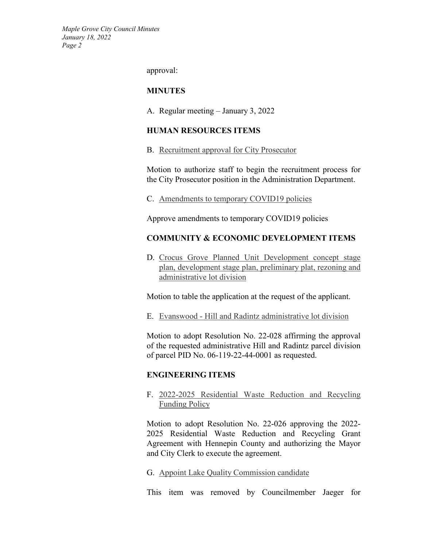approval:

#### **MINUTES**

A. Regular meeting – January 3, 2022

### **HUMAN RESOURCES ITEMS**

B. Recruitment approval for City Prosecutor

Motion to authorize staff to begin the recruitment process for the City Prosecutor position in the Administration Department.

C. Amendments to temporary COVID19 policies

Approve amendments to temporary COVID19 policies

### **COMMUNITY & ECONOMIC DEVELOPMENT ITEMS**

D. Crocus Grove Planned Unit Development concept stage plan, development stage plan, preliminary plat, rezoning and administrative lot division

Motion to table the application at the request of the applicant.

E. Evanswood - Hill and Radintz administrative lot division

Motion to adopt Resolution No. 22-028 affirming the approval of the requested administrative Hill and Radintz parcel division of parcel PID No. 06-119-22-44-0001 as requested.

### **ENGINEERING ITEMS**

F. 2022-2025 Residential Waste Reduction and Recycling Funding Policy

Motion to adopt Resolution No. 22-026 approving the 2022- 2025 Residential Waste Reduction and Recycling Grant Agreement with Hennepin County and authorizing the Mayor and City Clerk to execute the agreement.

G. Appoint Lake Quality Commission candidate

This item was removed by Councilmember Jaeger for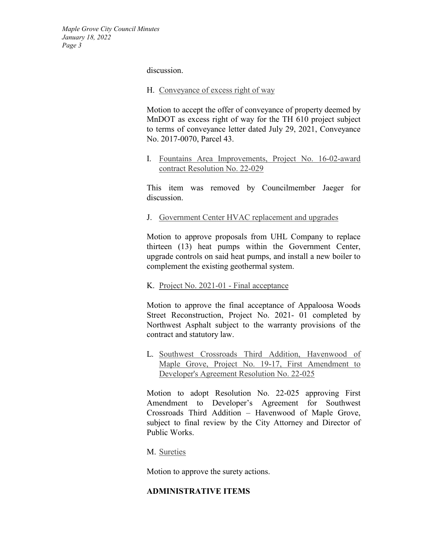discussion.

#### H. Conveyance of excess right of way

Motion to accept the offer of conveyance of property deemed by MnDOT as excess right of way for the TH 610 project subject to terms of conveyance letter dated July 29, 2021, Conveyance No. 2017-0070, Parcel 43.

I. Fountains Area Improvements, Project No. 16-02-award contract Resolution No. 22-029

This item was removed by Councilmember Jaeger for discussion.

J. Government Center HVAC replacement and upgrades

Motion to approve proposals from UHL Company to replace thirteen (13) heat pumps within the Government Center, upgrade controls on said heat pumps, and install a new boiler to complement the existing geothermal system.

### K. Project No. 2021-01 - Final acceptance

Motion to approve the final acceptance of Appaloosa Woods Street Reconstruction, Project No. 2021- 01 completed by Northwest Asphalt subject to the warranty provisions of the contract and statutory law.

L. Southwest Crossroads Third Addition, Havenwood of Maple Grove, Project No. 19-17, First Amendment to Developer's Agreement Resolution No. 22-025

Motion to adopt Resolution No. 22-025 approving First Amendment to Developer's Agreement for Southwest Crossroads Third Addition – Havenwood of Maple Grove, subject to final review by the City Attorney and Director of Public Works.

M. Sureties

Motion to approve the surety actions.

### **ADMINISTRATIVE ITEMS**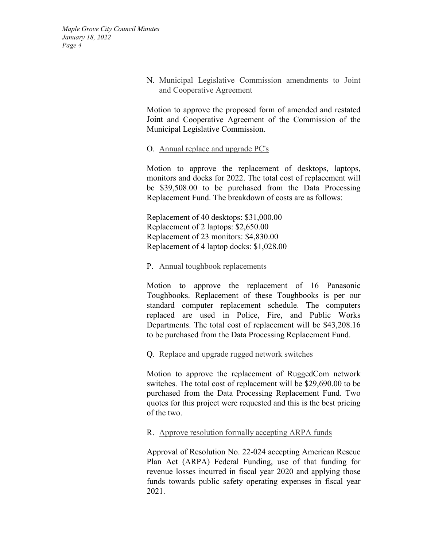### N. Municipal Legislative Commission amendments to Joint and Cooperative Agreement

Motion to approve the proposed form of amended and restated Joint and Cooperative Agreement of the Commission of the Municipal Legislative Commission.

### O. Annual replace and upgrade PC's

Motion to approve the replacement of desktops, laptops, monitors and docks for 2022. The total cost of replacement will be \$39,508.00 to be purchased from the Data Processing Replacement Fund. The breakdown of costs are as follows:

Replacement of 40 desktops: \$31,000.00 Replacement of 2 laptops: \$2,650.00 Replacement of 23 monitors: \$4,830.00 Replacement of 4 laptop docks: \$1,028.00

### P. Annual toughbook replacements

Motion to approve the replacement of 16 Panasonic Toughbooks. Replacement of these Toughbooks is per our standard computer replacement schedule. The computers replaced are used in Police, Fire, and Public Works Departments. The total cost of replacement will be \$43,208.16 to be purchased from the Data Processing Replacement Fund.

Q. Replace and upgrade rugged network switches

Motion to approve the replacement of RuggedCom network switches. The total cost of replacement will be \$29,690.00 to be purchased from the Data Processing Replacement Fund. Two quotes for this project were requested and this is the best pricing of the two.

## R. Approve resolution formally accepting ARPA funds

Approval of Resolution No. 22-024 accepting American Rescue Plan Act (ARPA) Federal Funding, use of that funding for revenue losses incurred in fiscal year 2020 and applying those funds towards public safety operating expenses in fiscal year 2021.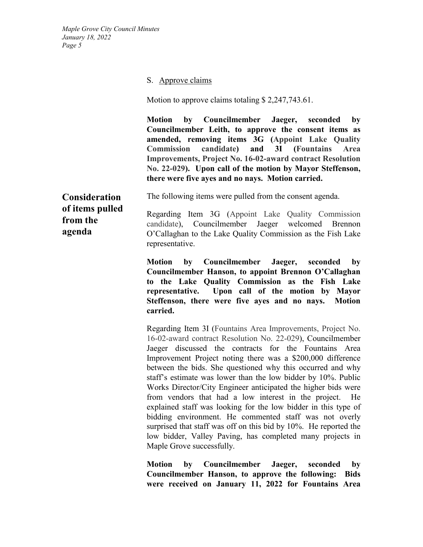#### S. Approve claims

Motion to approve claims totaling \$2,247,743.61.

**Motion by Councilmember Jaeger, seconded by Councilmember Leith, to approve the consent items as amended, removing items 3G (Appoint Lake Quality Commission candidate) and 3I (Fountains Area Improvements, Project No. 16-02-award contract Resolution No. 22-029). Upon call of the motion by Mayor Steffenson, there were five ayes and no nays. Motion carried.**

**Consideration of items pulled from the agenda**

The following items were pulled from the consent agenda.

Regarding Item 3G (Appoint Lake Quality Commission candidate), Councilmember Jaeger welcomed Brennon O'Callaghan to the Lake Quality Commission as the Fish Lake representative.

**Motion by Councilmember Jaeger, seconded by Councilmember Hanson, to appoint Brennon O'Callaghan to the Lake Quality Commission as the Fish Lake representative. Upon call of the motion by Mayor Steffenson, there were five ayes and no nays. Motion carried.**

Regarding Item 3I (Fountains Area Improvements, Project No. 16-02-award contract Resolution No. 22-029), Councilmember Jaeger discussed the contracts for the Fountains Area Improvement Project noting there was a \$200,000 difference between the bids. She questioned why this occurred and why staff's estimate was lower than the low bidder by 10%. Public Works Director/City Engineer anticipated the higher bids were from vendors that had a low interest in the project. He explained staff was looking for the low bidder in this type of bidding environment. He commented staff was not overly surprised that staff was off on this bid by 10%. He reported the low bidder, Valley Paving, has completed many projects in Maple Grove successfully.

**Motion by Councilmember Jaeger, seconded by Councilmember Hanson, to approve the following: Bids were received on January 11, 2022 for Fountains Area**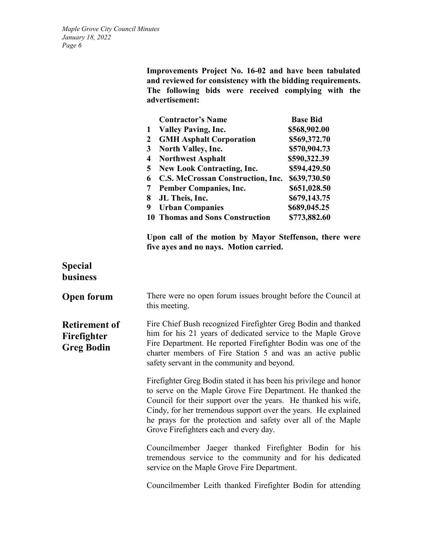|                |  | Improvements Project No. 16-02 and have been tabulated      |  |
|----------------|--|-------------------------------------------------------------|--|
|                |  | and reviewed for consistency with the bidding requirements. |  |
|                |  | The following bids were received complying with the         |  |
| advertisement: |  |                                                             |  |

|   | <b>Contractor's Name</b>            | <b>Base Bid</b> |
|---|-------------------------------------|-----------------|
|   | <b>Valley Paving, Inc.</b>          | \$568,902.00    |
| 2 | <b>GMH Asphalt Corporation</b>      | \$569,372.70    |
| 3 | <b>North Valley, Inc.</b>           | \$570,904.73    |
| 4 | <b>Northwest Asphalt</b>            | \$590,322.39    |
| 5 | <b>New Look Contracting, Inc.</b>   | \$594,429.50    |
| 6 | C.S. McCrossan Construction, Inc.   | \$639,730.50    |
| 7 | <b>Pember Companies, Inc.</b>       | \$651,028.50    |
| 8 | JL Theis, Inc.                      | \$679,143.75    |
| 9 | <b>Urban Companies</b>              | \$689,045.25    |
|   | <b>Thomas and Sons Construction</b> | \$773,882.60    |

**Upon call of the motion by Mayor Steffenson, there were five ayes and no nays. Motion carried.**

# **Special business**

| <b>Open forum</b>                                        | There were no open forum issues brought before the Council at<br>this meeting.                                                                                                                                                                                                                                                                                                                                                                                                             |
|----------------------------------------------------------|--------------------------------------------------------------------------------------------------------------------------------------------------------------------------------------------------------------------------------------------------------------------------------------------------------------------------------------------------------------------------------------------------------------------------------------------------------------------------------------------|
| <b>Retirement of</b><br>Firefighter<br><b>Greg Bodin</b> | Fire Chief Bush recognized Firefighter Greg Bodin and thanked<br>him for his 21 years of dedicated service to the Maple Grove<br>Fire Department. He reported Firefighter Bodin was one of the<br>charter members of Fire Station 5 and was an active public<br>safety servant in the community and beyond.                                                                                                                                                                                |
|                                                          | Firefighter Greg Bodin stated it has been his privilege and honor<br>to serve on the Maple Grove Fire Department. He thanked the<br>Council for their support over the years. He thanked his wife,<br>Cindy, for her tremendous support over the years. He explained<br>he prays for the protection and safety over all of the Maple<br>Grove Firefighters each and every day.                                                                                                             |
|                                                          | Councilmember Jaeger thanked Firefighter Bodin for his<br>tremendous service to the community and for his dedicated<br>service on the Maple Grove Fire Department.                                                                                                                                                                                                                                                                                                                         |
|                                                          | $\blacksquare$ $\blacksquare$ $\blacksquare$ $\blacksquare$ $\blacksquare$ $\blacksquare$ $\blacksquare$ $\blacksquare$ $\blacksquare$ $\blacksquare$ $\blacksquare$ $\blacksquare$ $\blacksquare$ $\blacksquare$ $\blacksquare$ $\blacksquare$ $\blacksquare$ $\blacksquare$ $\blacksquare$ $\blacksquare$ $\blacksquare$ $\blacksquare$ $\blacksquare$ $\blacksquare$ $\blacksquare$ $\blacksquare$ $\blacksquare$ $\blacksquare$ $\blacksquare$ $\blacksquare$ $\blacksquare$ $\blacks$ |

Councilmember Leith thanked Firefighter Bodin for attending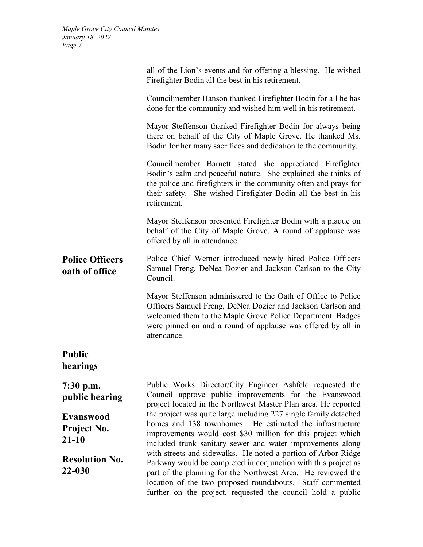|                                              | all of the Lion's events and for offering a blessing. He wished<br>Firefighter Bodin all the best in his retirement.                                                                                                                                                                                                        |  |  |  |
|----------------------------------------------|-----------------------------------------------------------------------------------------------------------------------------------------------------------------------------------------------------------------------------------------------------------------------------------------------------------------------------|--|--|--|
|                                              | Councilmember Hanson thanked Firefighter Bodin for all he has<br>done for the community and wished him well in his retirement.                                                                                                                                                                                              |  |  |  |
|                                              | Mayor Steffenson thanked Firefighter Bodin for always being<br>there on behalf of the City of Maple Grove. He thanked Ms.<br>Bodin for her many sacrifices and dedication to the community.                                                                                                                                 |  |  |  |
|                                              | Councilmember Barnett stated she appreciated Firefighter<br>Bodin's calm and peaceful nature. She explained she thinks of<br>the police and firefighters in the community often and prays for<br>their safety. She wished Firefighter Bodin all the best in his<br>retirement.                                              |  |  |  |
|                                              | Mayor Steffenson presented Firefighter Bodin with a plaque on<br>behalf of the City of Maple Grove. A round of applause was<br>offered by all in attendance.                                                                                                                                                                |  |  |  |
| <b>Police Officers</b><br>oath of office     | Police Chief Werner introduced newly hired Police Officers<br>Samuel Freng, DeNea Dozier and Jackson Carlson to the City<br>Council.                                                                                                                                                                                        |  |  |  |
|                                              | Mayor Steffenson administered to the Oath of Office to Police<br>Officers Samuel Freng, DeNea Dozier and Jackson Carlson and<br>welcomed them to the Maple Grove Police Department. Badges<br>were pinned on and a round of applause was offered by all in<br>attendance.                                                   |  |  |  |
| <b>Public</b><br>hearings                    |                                                                                                                                                                                                                                                                                                                             |  |  |  |
| $7:30$ p.m.<br>public hearing                | Public Works Director/City Engineer Ashfeld requested the<br>Council approve public improvements for the Evanswood<br>project located in the Northwest Master Plan area. He reported                                                                                                                                        |  |  |  |
| <b>Evanswood</b><br>Project No.<br>$21 - 10$ | the project was quite large including 227 single family detached<br>homes and 138 townhomes. He estimated the infrastructure<br>improvements would cost \$30 million for this project which<br>included trunk sanitary sewer and water improvements along                                                                   |  |  |  |
| <b>Resolution No.</b><br>22-030              | with streets and sidewalks. He noted a portion of Arbor Ridge<br>Parkway would be completed in conjunction with this project as<br>part of the planning for the Northwest Area. He reviewed the<br>location of the two proposed roundabouts. Staff commented<br>further on the project, requested the council hold a public |  |  |  |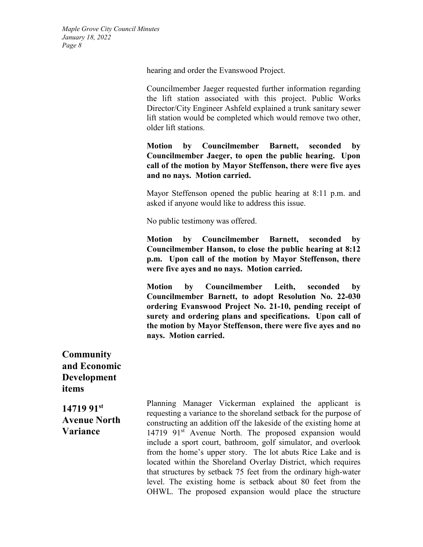hearing and order the Evanswood Project.

Councilmember Jaeger requested further information regarding the lift station associated with this project. Public Works Director/City Engineer Ashfeld explained a trunk sanitary sewer lift station would be completed which would remove two other, older lift stations.

**Motion by Councilmember Barnett, seconded by Councilmember Jaeger, to open the public hearing. Upon call of the motion by Mayor Steffenson, there were five ayes and no nays. Motion carried.**

Mayor Steffenson opened the public hearing at 8:11 p.m. and asked if anyone would like to address this issue.

No public testimony was offered.

**Motion by Councilmember Barnett, seconded by Councilmember Hanson, to close the public hearing at 8:12 p.m. Upon call of the motion by Mayor Steffenson, there were five ayes and no nays. Motion carried.**

**Motion by Councilmember Leith, seconded by Councilmember Barnett, to adopt Resolution No. 22-030 ordering Evanswood Project No. 21-10, pending receipt of surety and ordering plans and specifications. Upon call of the motion by Mayor Steffenson, there were five ayes and no nays. Motion carried.**

**Community and Economic Development items**

**14719 91st Avenue North Variance**

Planning Manager Vickerman explained the applicant is requesting a variance to the shoreland setback for the purpose of constructing an addition off the lakeside of the existing home at 14719 91<sup>st</sup> Avenue North. The proposed expansion would include a sport court, bathroom, golf simulator, and overlook from the home's upper story. The lot abuts Rice Lake and is located within the Shoreland Overlay District, which requires that structures by setback 75 feet from the ordinary high-water level. The existing home is setback about 80 feet from the OHWL. The proposed expansion would place the structure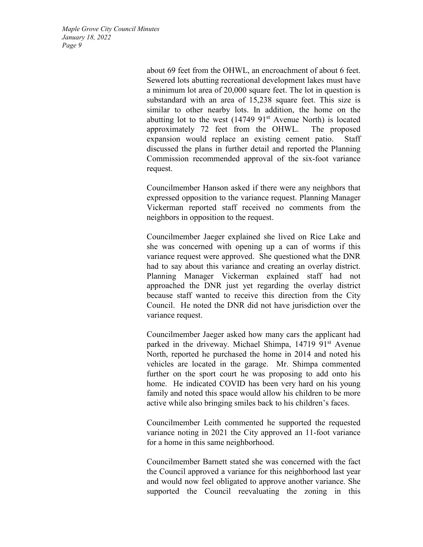> about 69 feet from the OHWL, an encroachment of about 6 feet. Sewered lots abutting recreational development lakes must have a minimum lot area of 20,000 square feet. The lot in question is substandard with an area of 15,238 square feet. This size is similar to other nearby lots. In addition, the home on the abutting lot to the west  $(14749 \t91<sup>st</sup>$  Avenue North) is located approximately 72 feet from the OHWL. The proposed expansion would replace an existing cement patio. Staff discussed the plans in further detail and reported the Planning Commission recommended approval of the six-foot variance request.

> Councilmember Hanson asked if there were any neighbors that expressed opposition to the variance request. Planning Manager Vickerman reported staff received no comments from the neighbors in opposition to the request.

> Councilmember Jaeger explained she lived on Rice Lake and she was concerned with opening up a can of worms if this variance request were approved. She questioned what the DNR had to say about this variance and creating an overlay district. Planning Manager Vickerman explained staff had not approached the DNR just yet regarding the overlay district because staff wanted to receive this direction from the City Council. He noted the DNR did not have jurisdiction over the variance request.

> Councilmember Jaeger asked how many cars the applicant had parked in the driveway. Michael Shimpa, 14719 91<sup>st</sup> Avenue North, reported he purchased the home in 2014 and noted his vehicles are located in the garage. Mr. Shimpa commented further on the sport court he was proposing to add onto his home. He indicated COVID has been very hard on his young family and noted this space would allow his children to be more active while also bringing smiles back to his children's faces.

> Councilmember Leith commented he supported the requested variance noting in 2021 the City approved an 11-foot variance for a home in this same neighborhood.

> Councilmember Barnett stated she was concerned with the fact the Council approved a variance for this neighborhood last year and would now feel obligated to approve another variance. She supported the Council reevaluating the zoning in this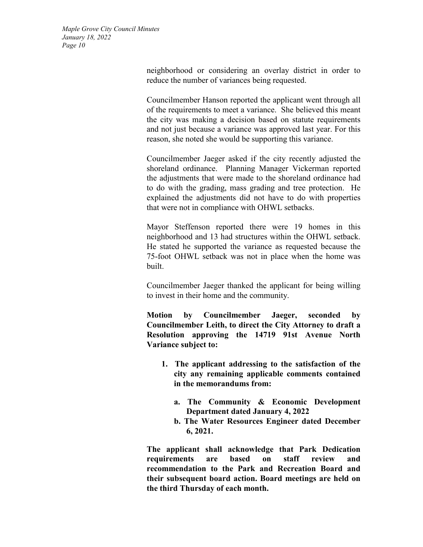> neighborhood or considering an overlay district in order to reduce the number of variances being requested.

> Councilmember Hanson reported the applicant went through all of the requirements to meet a variance. She believed this meant the city was making a decision based on statute requirements and not just because a variance was approved last year. For this reason, she noted she would be supporting this variance.

> Councilmember Jaeger asked if the city recently adjusted the shoreland ordinance. Planning Manager Vickerman reported the adjustments that were made to the shoreland ordinance had to do with the grading, mass grading and tree protection. He explained the adjustments did not have to do with properties that were not in compliance with OHWL setbacks.

> Mayor Steffenson reported there were 19 homes in this neighborhood and 13 had structures within the OHWL setback. He stated he supported the variance as requested because the 75-foot OHWL setback was not in place when the home was built.

> Councilmember Jaeger thanked the applicant for being willing to invest in their home and the community.

> **Motion by Councilmember Jaeger, seconded by Councilmember Leith, to direct the City Attorney to draft a Resolution approving the 14719 91st Avenue North Variance subject to:**

- **1. The applicant addressing to the satisfaction of the city any remaining applicable comments contained in the memorandums from:** 
	- **a. The Community & Economic Development Department dated January 4, 2022**
	- **b. The Water Resources Engineer dated December 6, 2021.**

**The applicant shall acknowledge that Park Dedication requirements are based on staff review and recommendation to the Park and Recreation Board and their subsequent board action. Board meetings are held on the third Thursday of each month.**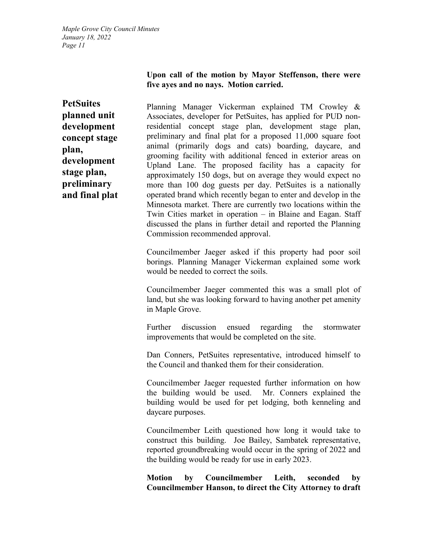#### **Upon call of the motion by Mayor Steffenson, there were five ayes and no nays. Motion carried.**

**PetSuites planned unit development concept stage plan, development stage plan, preliminary and final plat**

Planning Manager Vickerman explained TM Crowley & Associates, developer for PetSuites, has applied for PUD nonresidential concept stage plan, development stage plan, preliminary and final plat for a proposed 11,000 square foot animal (primarily dogs and cats) boarding, daycare, and grooming facility with additional fenced in exterior areas on Upland Lane. The proposed facility has a capacity for approximately 150 dogs, but on average they would expect no more than 100 dog guests per day. PetSuites is a nationally operated brand which recently began to enter and develop in the Minnesota market. There are currently two locations within the Twin Cities market in operation – in Blaine and Eagan. Staff discussed the plans in further detail and reported the Planning Commission recommended approval.

Councilmember Jaeger asked if this property had poor soil borings. Planning Manager Vickerman explained some work would be needed to correct the soils.

Councilmember Jaeger commented this was a small plot of land, but she was looking forward to having another pet amenity in Maple Grove.

Further discussion ensued regarding the stormwater improvements that would be completed on the site.

Dan Conners, PetSuites representative, introduced himself to the Council and thanked them for their consideration.

Councilmember Jaeger requested further information on how the building would be used. Mr. Conners explained the building would be used for pet lodging, both kenneling and daycare purposes.

Councilmember Leith questioned how long it would take to construct this building. Joe Bailey, Sambatek representative, reported groundbreaking would occur in the spring of 2022 and the building would be ready for use in early 2023.

**Motion by Councilmember Leith, seconded by Councilmember Hanson, to direct the City Attorney to draft**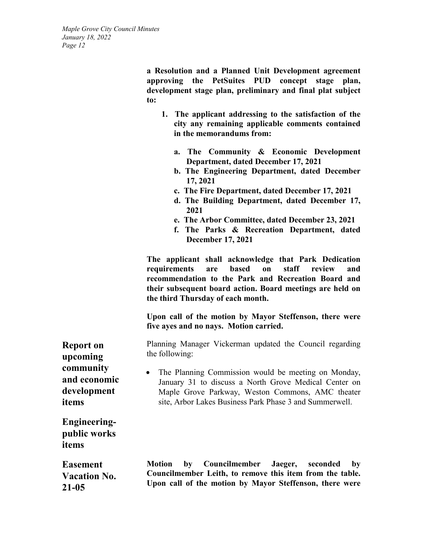**a Resolution and a Planned Unit Development agreement approving the PetSuites PUD concept stage plan, development stage plan, preliminary and final plat subject to:** 

- **1. The applicant addressing to the satisfaction of the city any remaining applicable comments contained in the memorandums from:** 
	- **a. The Community & Economic Development Department, dated December 17, 2021**
	- **b. The Engineering Department, dated December 17, 2021**
	- **c. The Fire Department, dated December 17, 2021**
	- **d. The Building Department, dated December 17, 2021**
	- **e. The Arbor Committee, dated December 23, 2021**
	- **f. The Parks & Recreation Department, dated December 17, 2021**

**The applicant shall acknowledge that Park Dedication requirements are based on staff review and recommendation to the Park and Recreation Board and their subsequent board action. Board meetings are held on the third Thursday of each month.** 

**Upon call of the motion by Mayor Steffenson, there were five ayes and no nays. Motion carried.**

Planning Manager Vickerman updated the Council regarding the following:

The Planning Commission would be meeting on Monday, January 31 to discuss a North Grove Medical Center on Maple Grove Parkway, Weston Commons, AMC theater site, Arbor Lakes Business Park Phase 3 and Summerwell.

**Engineeringpublic works items**

**Easement Vacation No. 21-05**

**Motion by Councilmember Jaeger, seconded by Councilmember Leith, to remove this item from the table. Upon call of the motion by Mayor Steffenson, there were** 

**Report on upcoming community and economic development items**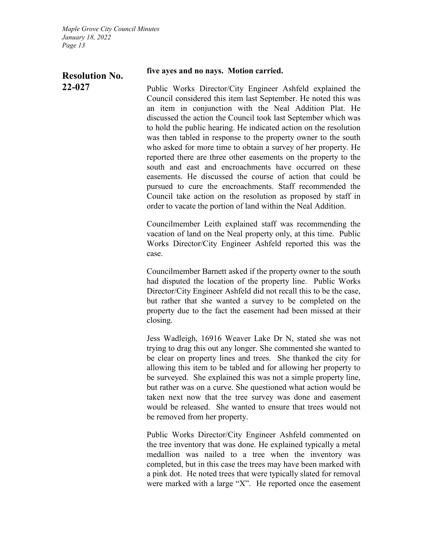## **Resolution No. 22-027**

#### **five ayes and no nays. Motion carried.**

Public Works Director/City Engineer Ashfeld explained the Council considered this item last September. He noted this was an item in conjunction with the Neal Addition Plat. He discussed the action the Council took last September which was to hold the public hearing. He indicated action on the resolution was then tabled in response to the property owner to the south who asked for more time to obtain a survey of her property. He reported there are three other easements on the property to the south and east and encroachments have occurred on these easements. He discussed the course of action that could be pursued to cure the encroachments. Staff recommended the Council take action on the resolution as proposed by staff in order to vacate the portion of land within the Neal Addition.

Councilmember Leith explained staff was recommending the vacation of land on the Neal property only, at this time. Public Works Director/City Engineer Ashfeld reported this was the case.

Councilmember Barnett asked if the property owner to the south had disputed the location of the property line. Public Works Director/City Engineer Ashfeld did not recall this to be the case, but rather that she wanted a survey to be completed on the property due to the fact the easement had been missed at their closing.

Jess Wadleigh, 16916 Weaver Lake Dr N, stated she was not trying to drag this out any longer. She commented she wanted to be clear on property lines and trees. She thanked the city for allowing this item to be tabled and for allowing her property to be surveyed. She explained this was not a simple property line, but rather was on a curve. She questioned what action would be taken next now that the tree survey was done and easement would be released. She wanted to ensure that trees would not be removed from her property.

Public Works Director/City Engineer Ashfeld commented on the tree inventory that was done. He explained typically a metal medallion was nailed to a tree when the inventory was completed, but in this case the trees may have been marked with a pink dot. He noted trees that were typically slated for removal were marked with a large "X". He reported once the easement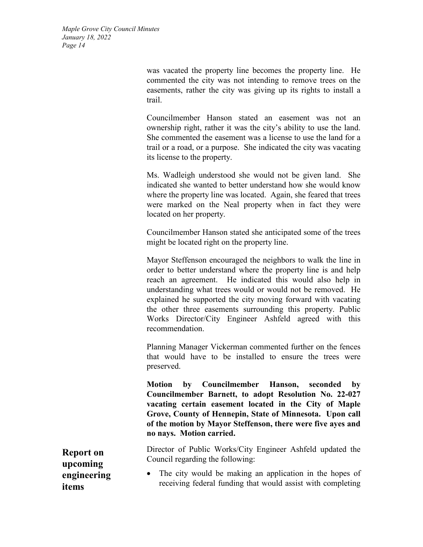> was vacated the property line becomes the property line. He commented the city was not intending to remove trees on the easements, rather the city was giving up its rights to install a trail.

> Councilmember Hanson stated an easement was not an ownership right, rather it was the city's ability to use the land. She commented the easement was a license to use the land for a trail or a road, or a purpose. She indicated the city was vacating its license to the property.

> Ms. Wadleigh understood she would not be given land. She indicated she wanted to better understand how she would know where the property line was located. Again, she feared that trees were marked on the Neal property when in fact they were located on her property.

> Councilmember Hanson stated she anticipated some of the trees might be located right on the property line.

> Mayor Steffenson encouraged the neighbors to walk the line in order to better understand where the property line is and help reach an agreement. He indicated this would also help in understanding what trees would or would not be removed. He explained he supported the city moving forward with vacating the other three easements surrounding this property. Public Works Director/City Engineer Ashfeld agreed with this recommendation.

> Planning Manager Vickerman commented further on the fences that would have to be installed to ensure the trees were preserved.

> **Motion by Councilmember Hanson, seconded by Councilmember Barnett, to adopt Resolution No. 22-027 vacating certain easement located in the City of Maple Grove, County of Hennepin, State of Minnesota. Upon call of the motion by Mayor Steffenson, there were five ayes and no nays. Motion carried.**

> Director of Public Works/City Engineer Ashfeld updated the Council regarding the following:

> • The city would be making an application in the hopes of receiving federal funding that would assist with completing

**Report on upcoming engineering items**